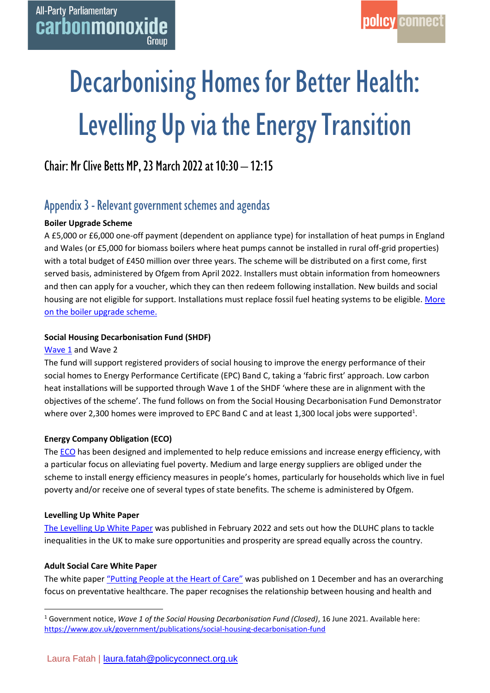# Decarbonising Homes for Better Health: Levelling Up via the Energy Transition

# Chair: Mr Clive Betts MP, 23 March 2022 at 10:30 – 12:15

# Appendix 3 - Relevant government schemes and agendas

# **Boiler Upgrade Scheme**

A £5,000 or £6,000 one-off payment (dependent on appliance type) for installation of heat pumps in England and Wales (or £5,000 for biomass boilers where heat pumps cannot be installed in rural off-grid properties) with a total budget of £450 million over three years. The scheme will be distributed on a first come, first served basis, administered by Ofgem from April 2022. Installers must obtain information from homeowners and then can apply for a voucher, which they can then redeem following installation. New builds and social housing are not eligible for support. Installations must replace fossil fuel heating systems to be eligible. [More](https://www.ofgem.gov.uk/environmental-and-social-schemes/boiler-upgrade-scheme-bus)  [on the boiler upgrade scheme.](https://www.ofgem.gov.uk/environmental-and-social-schemes/boiler-upgrade-scheme-bus)

## **Social Housing Decarbonisation Fund (SHDF)**

## [Wave 1](https://www.gov.uk/government/publications/social-housing-decarbonisation-fund) and Wave 2

The fund will support registered providers of social housing to improve the energy performance of their social homes to Energy Performance Certificate (EPC) Band C, taking a 'fabric first' approach. Low carbon heat installations will be supported through Wave 1 of the SHDF 'where these are in alignment with the objectives of the scheme'. The fund follows on from the Social Housing Decarbonisation Fund Demonstrator where over 2,300 homes were improved to EPC Band C and at least 1,300 local jobs were supported<sup>1</sup>.

## **Energy Company Obligation (ECO)**

The [ECO](https://policyconnectuk.sharepoint.com/sites/Health/Shared%20Documents/Carbon%20Monoxide/1.%20Events%20and%20Meetings/6.%20Other%20events/2022/Decarbonising%20Homes/the%20Home%20Heating%20Cost%20Reduction%20Obligation%20(HHCRO).%20Under%20HHCRO,%20obligated%20suppliers%20must%20mainly%20promote%20measures%20which%20improve%20the%20ability%20of%20low%20income,%20fuel%20poor%20and%20vulnerable%20households%20to%20heat%20their%20homes.%20This%20includes%20actions%20that%20result%20in%20heating%20savings,%20such%20as%20the%20replacement%20of%20a%20broken%20heating%20system%20or%20the%20upgrade%20of%20an%20inefficient%20heating%20system.) has been designed and implemented to help reduce emissions and increase energy efficiency, with a particular focus on alleviating fuel poverty. Medium and large energy suppliers are obliged under the scheme to install energy efficiency measures in people's homes, particularly for households which live in fuel poverty and/or receive one of several types of state benefits. The scheme is administered by Ofgem.

#### **Levelling Up White Paper**

[The Levelling Up White Paper](https://www.gov.uk/government/publications/levelling-up-the-united-kingdom) was published in February 2022 and sets out how the DLUHC plans to tackle inequalities in the UK to make sure opportunities and prosperity are spread equally across the country.

## **Adult Social Care White Paper**

The white paper ["Putting People at the Heart of Care"](https://www.gov.uk/government/publications/people-at-the-heart-of-care-adult-social-care-reform-white-paper/people-at-the-heart-of-care-adult-social-care-reform) was published on 1 December and has an overarching focus on preventative healthcare. The paper recognises the relationship between housing and health and

<sup>1</sup> Government notice, *Wave 1 of the Social Housing Decarbonisation Fund (Closed)*, 16 June 2021. Available here: <https://www.gov.uk/government/publications/social-housing-decarbonisation-fund>